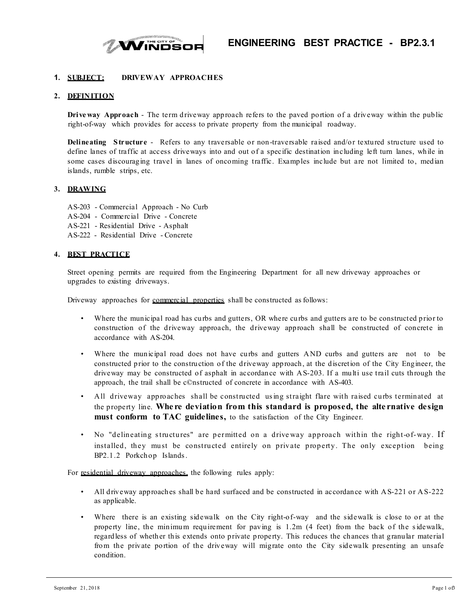

## **1. SUBJECT: DRIVEWAY APPROACHES**

## **2. DEFIN ITION**

**Drive way Approach** - The term driveway approach refers to the paved portion of a driveway within the public right-of-way which provides for access to private property from the municipal roadway.

**Delineating S tructure** - Refers to any traversable or non-traversable raised and/or textured structure used to define lanes of traffic at access driveways into and out of a specific destination including left turn lanes, while in some cases discouraging travel in lanes of oncoming traffic. Examples include but are not limited to, median islands, rumble strips, etc.

## **3. DRAWING**

AS-203 - Commercial Approach - No Curb AS-204 - Commercial Drive - Concrete AS-221 - Residential Drive - Asphalt AS-222 - Residential Drive - Concrete

#### **4. BEST PRACTICE**

Street opening permits are required from the Engineering Department for all new driveway approaches or upgrades to existing driveways.

Driveway approaches for commercial properties shall be constructed as follows:

- Where the municipal road has curbs and gutters, OR where curbs and gutters are to be constructed prior to construction of the driveway approach, the driveway approach shall be constructed of concrete in accordance with AS-204.
- Where the municipal road does not have curbs and gutters AND curbs and gutters are not to be constructed prior to the construction of the driveway approach, at the discretion of the City Engineer, the driveway may be constructed of asphalt in accordance with A S-203. If a multi use trail cuts through the approach, the trail shall be c©nstructed of concrete in accordance with AS-403.
- All driveway approaches shall be constructed using straight flare with raised curbs terminated at the property line. **Whe re deviation from this standard is proposed, the alte rnative design must conform to TAC guidelines,** to the satisfaction of the City Engineer.
- No "delineating s tructures" are per mitted on a drive way approach within the right-of-way. If installed, they must be constructed entirely on private property. The only exception being BP2.1.2 Porkchop Islands .

For residential driveway approaches, the following rules apply:

- All driveway approaches shall be hard surfaced and be constructed in accordance with A S-221 or A S-222 as applicable.
- Where there is an existing sidewalk on the City right-of-way and the sidewalk is close to or at the property line, the minimum requirement for paving is 1.2m (4 feet) from the back of the s idewalk, regardless of whether this extends onto private property. This reduces the chances that granular material from the private portion of the driveway will migrate onto the City sidewalk presenting an unsafe condition.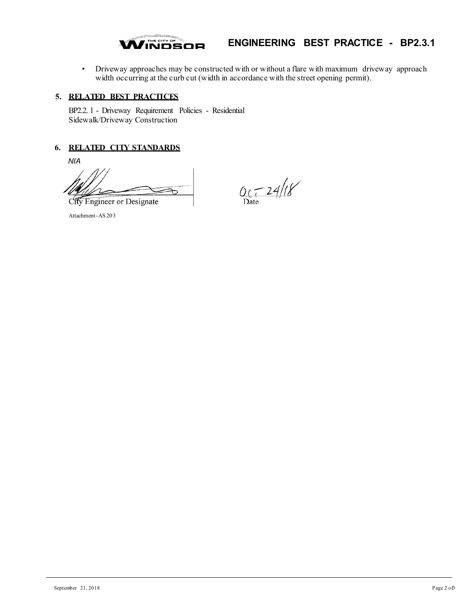

# **ENGINEERING BEST PRACTICE - BP2.3.1**

• Driveway approaches may be constructed with or without a flare with maximum driveway approach width occurring at the curb cut (width in accordance with the street opening permit).

## **5. RELATED BEST PRACTICES**

BP2.2. l - Driveway Requirement Policies - Residential Sidewalk/Driveway Construction

# **6. RELATED CITY STANDARDS**

*NIA*

City Engineer or Designate

 $0.724/18$ 

Attachment-AS 203